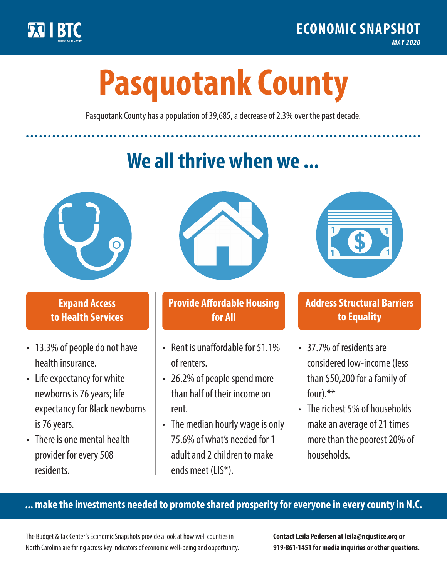

**1**

# **Pasquotank County**

Pasquotank County has a population of 39,685, a decrease of 2.3% over the past decade.

# **We all thrive when we ...**



**\$ <sup>1</sup>**

**\$ <sup>1</sup>**

## **Expand Access to Health Services**

- 13.3% of people do not have health insurance.
- Life expectancy for white newborns is 76 years; life expectancy for Black newborns is 76 years.
- There is one mental health provider for every 508 residents.



## **Provide Affordable Housing for All**

- Rent is unaffordable for 51 1% of renters.
- 26.2% of people spend more than half of their income on rent.
- The median hourly wage is only 75.6% of what's needed for 1 adult and 2 children to make ends meet (LIS\*).



## **Address Structural Barriers to Equality**

- 37.7% of residents are considered low-income (less than \$50,200 for a family of four).\*\*
- The richest 5% of households make an average of 21 times more than the poorest 20% of households.

#### **... make the investments needed to promote shared prosperity for everyone in every county in N.C.**

The Budget & Tax Center's Economic Snapshots provide a look at how well counties in North Carolina are faring across key indicators of economic well-being and opportunity.